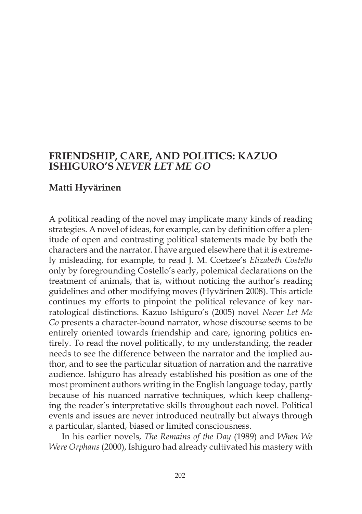# **FRIENDSHIP, CARE, AND POLITICS: KAZUO ISHIGURO'S** *NEVER LET ME GO*

## **Matti Hyvärinen**

A political reading of the novel may implicate many kinds of reading strategies. A novel of ideas, for example, can by definition offer a plenitude of open and contrasting political statements made by both the characters and the narrator. I have argued elsewhere that it is extremely misleading, for example, to read J. M. Coetzee's *Elizabeth Costello* only by foregrounding Costello's early, polemical declarations on the treatment of animals, that is, without noticing the author's reading guidelines and other modifying moves (Hyvärinen 2008). This article continues my efforts to pinpoint the political relevance of key narratological distinctions. Kazuo Ishiguro's (2005) novel *Never Let Me Go* presents a character-bound narrator, whose discourse seems to be entirely oriented towards friendship and care, ignoring politics entirely. To read the novel politically, to my understanding, the reader needs to see the difference between the narrator and the implied author, and to see the particular situation of narration and the narrative audience. Ishiguro has already established his position as one of the most prominent authors writing in the English language today, partly because of his nuanced narrative techniques, which keep challenging the reader's interpretative skills throughout each novel. Political events and issues are never introduced neutrally but always through a particular, slanted, biased or limited consciousness.

In his earlier novels, *The Remains of the Day* (1989) and *When We Were Orphans* (2000), Ishiguro had already cultivated his mastery with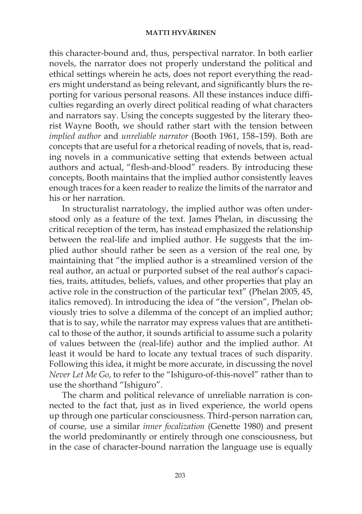this character-bound and, thus, perspectival narrator. In both earlier novels, the narrator does not properly understand the political and ethical settings wherein he acts, does not report everything the readers might understand as being relevant, and significantly blurs the reporting for various personal reasons. All these instances induce difficulties regarding an overly direct political reading of what characters and narrators say. Using the concepts suggested by the literary theorist Wayne Booth, we should rather start with the tension between *implied author* and *unreliable narrator* (Booth 1961, 158–159). Both are concepts that are useful for a rhetorical reading of novels, that is, reading novels in a communicative setting that extends between actual authors and actual, "flesh-and-blood" readers. By introducing these concepts, Booth maintains that the implied author consistently leaves enough traces for a keen reader to realize the limits of the narrator and his or her narration.

In structuralist narratology, the implied author was often understood only as a feature of the text. James Phelan, in discussing the critical reception of the term, has instead emphasized the relationship between the real-life and implied author. He suggests that the implied author should rather be seen as a version of the real one, by maintaining that "the implied author is a streamlined version of the real author, an actual or purported subset of the real author's capacities, traits, attitudes, beliefs, values, and other properties that play an active role in the construction of the particular text" (Phelan 2005, 45, italics removed). In introducing the idea of "the version", Phelan obviously tries to solve a dilemma of the concept of an implied author; that is to say, while the narrator may express values that are antithetical to those of the author, it sounds artificial to assume such a polarity of values between the (real-life) author and the implied author. At least it would be hard to locate any textual traces of such disparity. Following this idea, it might be more accurate, in discussing the novel *Never Let Me Go*, to refer to the "Ishiguro-of-this-novel" rather than to use the shorthand "Ishiguro".

The charm and political relevance of unreliable narration is connected to the fact that, just as in lived experience, the world opens up through one particular consciousness. Third-person narration can, of course, use a similar *inner focalization* (Genette 1980) and present the world predominantly or entirely through one consciousness, but in the case of character-bound narration the language use is equally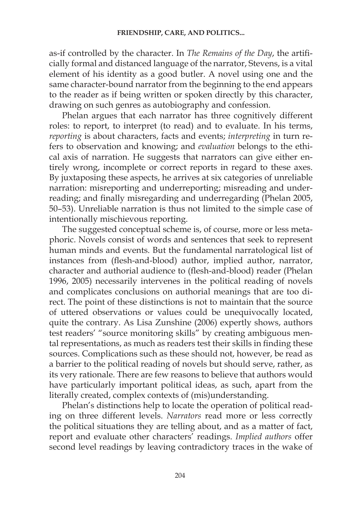as-if controlled by the character. In *The Remains of the Day*, the artificially formal and distanced language of the narrator, Stevens, is a vital element of his identity as a good butler. A novel using one and the same character-bound narrator from the beginning to the end appears to the reader as if being written or spoken directly by this character, drawing on such genres as autobiography and confession.

Phelan argues that each narrator has three cognitively different roles: to report, to interpret (to read) and to evaluate. In his terms, *reporting* is about characters, facts and events; *interpreting* in turn refers to observation and knowing; and *evaluation* belongs to the ethical axis of narration. He suggests that narrators can give either entirely wrong, incomplete or correct reports in regard to these axes. By juxtaposing these aspects, he arrives at six categories of unreliable narration: misreporting and underreporting; misreading and underreading; and finally misregarding and underregarding (Phelan 2005, 50–53). Unreliable narration is thus not limited to the simple case of intentionally mischievous reporting.

The suggested conceptual scheme is, of course, more or less metaphoric. Novels consist of words and sentences that seek to represent human minds and events. But the fundamental narratological list of instances from (flesh-and-blood) author, implied author, narrator, character and authorial audience to (flesh-and-blood) reader (Phelan 1996, 2005) necessarily intervenes in the political reading of novels and complicates conclusions on authorial meanings that are too direct. The point of these distinctions is not to maintain that the source of uttered observations or values could be unequivocally located, quite the contrary. As Lisa Zunshine (2006) expertly shows, authors test readers' "source monitoring skills" by creating ambiguous mental representations, as much as readers test their skills in finding these sources. Complications such as these should not, however, be read as a barrier to the political reading of novels but should serve, rather, as its very rationale. There are few reasons to believe that authors would have particularly important political ideas, as such, apart from the literally created, complex contexts of (mis)understanding.

Phelan's distinctions help to locate the operation of political reading on three different levels. *Narrators* read more or less correctly the political situations they are telling about, and as a matter of fact, report and evaluate other characters' readings. *Implied authors* offer second level readings by leaving contradictory traces in the wake of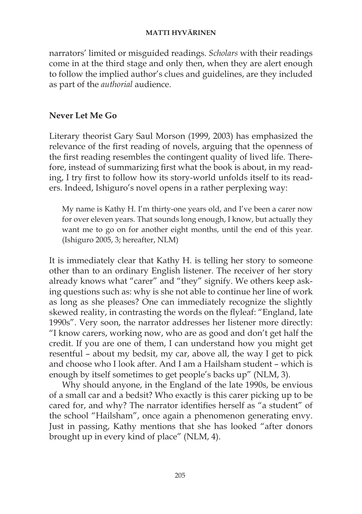narrators' limited or misguided readings. *Scholars* with their readings come in at the third stage and only then, when they are alert enough to follow the implied author's clues and guidelines, are they included as part of the *authorial* audience.

## **Never Let Me Go**

Literary theorist Gary Saul Morson (1999, 2003) has emphasized the relevance of the first reading of novels, arguing that the openness of the first reading resembles the contingent quality of lived life. Therefore, instead of summarizing first what the book is about, in my reading, I try first to follow how its story-world unfolds itself to its readers. Indeed, Ishiguro's novel opens in a rather perplexing way:

My name is Kathy H. I'm thirty-one years old, and I've been a carer now for over eleven years. That sounds long enough, I know, but actually they want me to go on for another eight months, until the end of this year. (Ishiguro 2005, 3; hereafter, NLM)

It is immediately clear that Kathy H. is telling her story to someone other than to an ordinary English listener. The receiver of her story already knows what "carer" and "they" signify. We others keep asking questions such as: why is she not able to continue her line of work as long as she pleases? One can immediately recognize the slightly skewed reality, in contrasting the words on the flyleaf: "England, late 1990s". Very soon, the narrator addresses her listener more directly: "I know carers, working now, who are as good and don't get half the credit. If you are one of them, I can understand how you might get resentful – about my bedsit, my car, above all, the way I get to pick and choose who I look after. And I am a Hailsham student – which is enough by itself sometimes to get people's backs up" (NLM, 3).

Why should anyone, in the England of the late 1990s, be envious of a small car and a bedsit? Who exactly is this carer picking up to be cared for, and why? The narrator identifies herself as "a student" of the school "Hailsham", once again a phenomenon generating envy. Just in passing, Kathy mentions that she has looked "after donors brought up in every kind of place" (NLM, 4).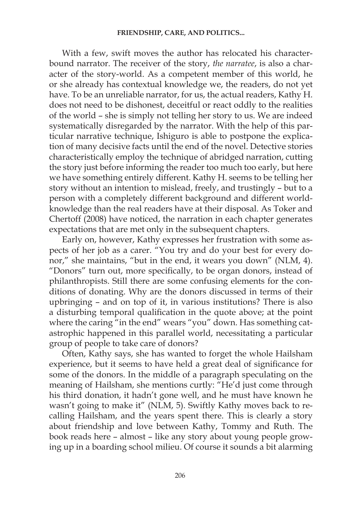With a few, swift moves the author has relocated his characterbound narrator. The receiver of the story, *the narratee*, is also a character of the story-world. As a competent member of this world, he or she already has contextual knowledge we, the readers, do not yet have. To be an unreliable narrator, for us, the actual readers, Kathy H. does not need to be dishonest, deceitful or react oddly to the realities of the world – she is simply not telling her story to us. We are indeed systematically disregarded by the narrator. With the help of this particular narrative technique, Ishiguro is able to postpone the explication of many decisive facts until the end of the novel. Detective stories characteristically employ the technique of abridged narration, cutting the story just before informing the reader too much too early, but here we have something entirely different. Kathy H. seems to be telling her story without an intention to mislead, freely, and trustingly – but to a person with a completely different background and different worldknowledge than the real readers have at their disposal. As Toker and Chertoff (2008) have noticed, the narration in each chapter generates expectations that are met only in the subsequent chapters.

Early on, however, Kathy expresses her frustration with some aspects of her job as a carer. "You try and do your best for every donor," she maintains, "but in the end, it wears you down" (NLM, 4). "Donors" turn out, more specifically, to be organ donors, instead of philanthropists. Still there are some confusing elements for the conditions of donating. Why are the donors discussed in terms of their upbringing – and on top of it, in various institutions? There is also a disturbing temporal qualification in the quote above; at the point where the caring "in the end" wears "you" down. Has something catastrophic happened in this parallel world, necessitating a particular group of people to take care of donors?

Often, Kathy says, she has wanted to forget the whole Hailsham experience, but it seems to have held a great deal of significance for some of the donors. In the middle of a paragraph speculating on the meaning of Hailsham, she mentions curtly: "He'd just come through his third donation, it hadn't gone well, and he must have known he wasn't going to make it" (NLM, 5). Swiftly Kathy moves back to recalling Hailsham, and the years spent there. This is clearly a story about friendship and love between Kathy, Tommy and Ruth. The book reads here – almost – like any story about young people growing up in a boarding school milieu. Of course it sounds a bit alarming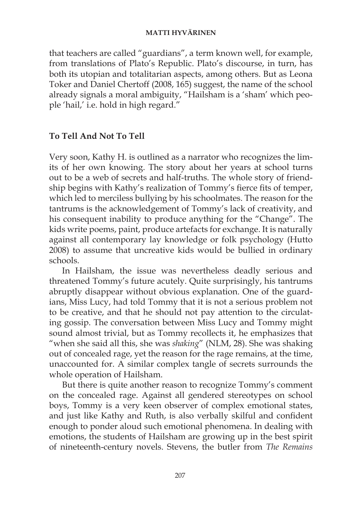that teachers are called "guardians", a term known well, for example, from translations of Plato's Republic. Plato's discourse, in turn, has both its utopian and totalitarian aspects, among others. But as Leona Toker and Daniel Chertoff (2008, 165) suggest, the name of the school already signals a moral ambiguity, "Hailsham is a 'sham' which people 'hail,' i.e. hold in high regard."

## **To Tell And Not To Tell**

Very soon, Kathy H. is outlined as a narrator who recognizes the limits of her own knowing. The story about her years at school turns out to be a web of secrets and half-truths. The whole story of friendship begins with Kathy's realization of Tommy's fierce fits of temper, which led to merciless bullying by his schoolmates. The reason for the tantrums is the acknowledgement of Tommy's lack of creativity, and his consequent inability to produce anything for the "Change". The kids write poems, paint, produce artefacts for exchange. It is naturally against all contemporary lay knowledge or folk psychology (Hutto 2008) to assume that uncreative kids would be bullied in ordinary schools.

In Hailsham, the issue was nevertheless deadly serious and threatened Tommy's future acutely. Quite surprisingly, his tantrums abruptly disappear without obvious explanation. One of the guardians, Miss Lucy, had told Tommy that it is not a serious problem not to be creative, and that he should not pay attention to the circulating gossip. The conversation between Miss Lucy and Tommy might sound almost trivial, but as Tommy recollects it, he emphasizes that "when she said all this, she was *shaking*" (NLM, 28). She was shaking out of concealed rage, yet the reason for the rage remains, at the time, unaccounted for. A similar complex tangle of secrets surrounds the whole operation of Hailsham.

But there is quite another reason to recognize Tommy's comment on the concealed rage. Against all gendered stereotypes on school boys, Tommy is a very keen observer of complex emotional states, and just like Kathy and Ruth, is also verbally skilful and confident enough to ponder aloud such emotional phenomena. In dealing with emotions, the students of Hailsham are growing up in the best spirit of nineteenth-century novels. Stevens, the butler from *The Remains*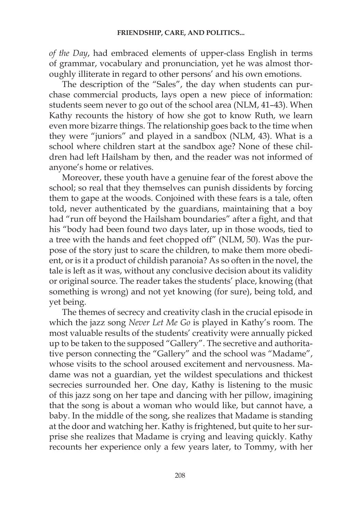*of the Day*, had embraced elements of upper-class English in terms of grammar, vocabulary and pronunciation, yet he was almost thoroughly illiterate in regard to other persons' and his own emotions.

The description of the "Sales", the day when students can purchase commercial products, lays open a new piece of information: students seem never to go out of the school area (NLM, 41–43). When Kathy recounts the history of how she got to know Ruth, we learn even more bizarre things. The relationship goes back to the time when they were "juniors" and played in a sandbox (NLM, 43). What is a school where children start at the sandbox age? None of these children had left Hailsham by then, and the reader was not informed of anyone's home or relatives.

Moreover, these youth have a genuine fear of the forest above the school; so real that they themselves can punish dissidents by forcing them to gape at the woods. Conjoined with these fears is a tale, often told, never authenticated by the guardians, maintaining that a boy had "run off beyond the Hailsham boundaries" after a fight, and that his "body had been found two days later, up in those woods, tied to a tree with the hands and feet chopped off" (NLM, 50). Was the purpose of the story just to scare the children, to make them more obedient, or is it a product of childish paranoia? As so often in the novel, the tale is left as it was, without any conclusive decision about its validity or original source. The reader takes the students' place, knowing (that something is wrong) and not yet knowing (for sure), being told, and yet being.

The themes of secrecy and creativity clash in the crucial episode in which the jazz song *Never Let Me Go* is played in Kathy's room. The most valuable results of the students' creativity were annually picked up to be taken to the supposed "Gallery". The secretive and authoritative person connecting the "Gallery" and the school was "Madame", whose visits to the school aroused excitement and nervousness. Madame was not a guardian, yet the wildest speculations and thickest secrecies surrounded her. One day, Kathy is listening to the music of this jazz song on her tape and dancing with her pillow, imagining that the song is about a woman who would like, but cannot have, a baby. In the middle of the song, she realizes that Madame is standing at the door and watching her. Kathy is frightened, but quite to her surprise she realizes that Madame is crying and leaving quickly. Kathy recounts her experience only a few years later, to Tommy, with her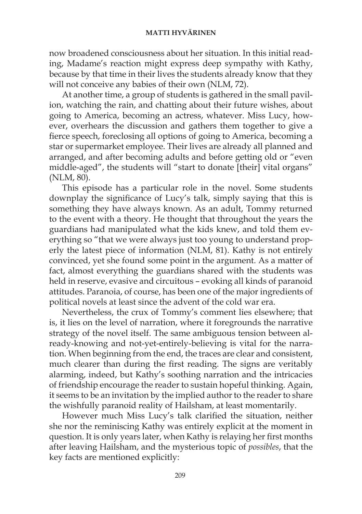now broadened consciousness about her situation. In this initial reading, Madame's reaction might express deep sympathy with Kathy, because by that time in their lives the students already know that they will not conceive any babies of their own (NLM, 72).

At another time, a group of students is gathered in the small pavilion, watching the rain, and chatting about their future wishes, about going to America, becoming an actress, whatever. Miss Lucy, however, overhears the discussion and gathers them together to give a fierce speech, foreclosing all options of going to America, becoming a star or supermarket employee. Their lives are already all planned and arranged, and after becoming adults and before getting old or "even middle-aged", the students will "start to donate [their] vital organs" (NLM, 80).

This episode has a particular role in the novel. Some students downplay the significance of Lucy's talk, simply saying that this is something they have always known. As an adult, Tommy returned to the event with a theory. He thought that throughout the years the guardians had manipulated what the kids knew, and told them everything so "that we were always just too young to understand properly the latest piece of information (NLM, 81). Kathy is not entirely convinced, yet she found some point in the argument. As a matter of fact, almost everything the guardians shared with the students was held in reserve, evasive and circuitous – evoking all kinds of paranoid attitudes. Paranoia, of course, has been one of the major ingredients of political novels at least since the advent of the cold war era.

Nevertheless, the crux of Tommy's comment lies elsewhere; that is, it lies on the level of narration, where it foregrounds the narrative strategy of the novel itself. The same ambiguous tension between already-knowing and not-yet-entirely-believing is vital for the narration. When beginning from the end, the traces are clear and consistent, much clearer than during the first reading. The signs are veritably alarming, indeed, but Kathy's soothing narration and the intricacies of friendship encourage the reader to sustain hopeful thinking. Again, it seems to be an invitation by the implied author to the reader to share the wishfully paranoid reality of Hailsham, at least momentarily.

However much Miss Lucy's talk clarified the situation, neither she nor the reminiscing Kathy was entirely explicit at the moment in question. It is only years later, when Kathy is relaying her first months after leaving Hailsham, and the mysterious topic of *possibles*, that the key facts are mentioned explicitly: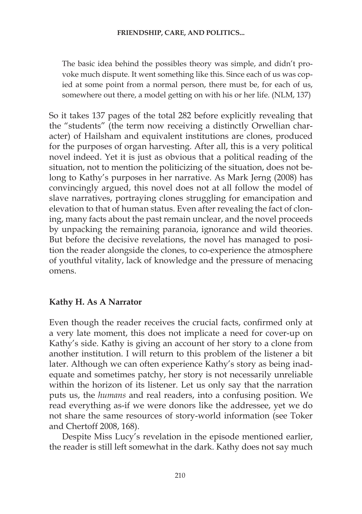The basic idea behind the possibles theory was simple, and didn't provoke much dispute. It went something like this. Since each of us was copied at some point from a normal person, there must be, for each of us, somewhere out there, a model getting on with his or her life. (NLM, 137)

So it takes 137 pages of the total 282 before explicitly revealing that the "students" (the term now receiving a distinctly Orwellian character) of Hailsham and equivalent institutions are clones, produced for the purposes of organ harvesting. After all, this is a very political novel indeed. Yet it is just as obvious that a political reading of the situation, not to mention the politicizing of the situation, does not belong to Kathy's purposes in her narrative. As Mark Jerng (2008) has convincingly argued, this novel does not at all follow the model of slave narratives, portraying clones struggling for emancipation and elevation to that of human status. Even after revealing the fact of cloning, many facts about the past remain unclear, and the novel proceeds by unpacking the remaining paranoia, ignorance and wild theories. But before the decisive revelations, the novel has managed to position the reader alongside the clones, to co-experience the atmosphere of youthful vitality, lack of knowledge and the pressure of menacing omens.

## **Kathy H. As A Narrator**

Even though the reader receives the crucial facts, confirmed only at a very late moment, this does not implicate a need for cover-up on Kathy's side. Kathy is giving an account of her story to a clone from another institution. I will return to this problem of the listener a bit later. Although we can often experience Kathy's story as being inadequate and sometimes patchy, her story is not necessarily unreliable within the horizon of its listener. Let us only say that the narration puts us, the *humans* and real readers, into a confusing position. We read everything as-if we were donors like the addressee, yet we do not share the same resources of story-world information (see Toker and Chertoff 2008, 168).

Despite Miss Lucy's revelation in the episode mentioned earlier, the reader is still left somewhat in the dark. Kathy does not say much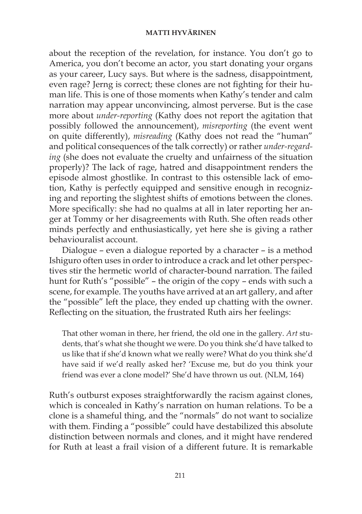about the reception of the revelation, for instance. You don't go to America, you don't become an actor, you start donating your organs as your career, Lucy says. But where is the sadness, disappointment, even rage? Jerng is correct; these clones are not fighting for their human life. This is one of those moments when Kathy's tender and calm narration may appear unconvincing, almost perverse. But is the case more about *under-reporting* (Kathy does not report the agitation that possibly followed the announcement), *misreporting* (the event went on quite differently), *misreading* (Kathy does not read the "human" and political consequences of the talk correctly) or rather *under-regarding* (she does not evaluate the cruelty and unfairness of the situation properly)? The lack of rage, hatred and disappointment renders the episode almost ghostlike. In contrast to this ostensible lack of emotion, Kathy is perfectly equipped and sensitive enough in recognizing and reporting the slightest shifts of emotions between the clones. More specifically: she had no qualms at all in later reporting her anger at Tommy or her disagreements with Ruth. She often reads other minds perfectly and enthusiastically, yet here she is giving a rather behaviouralist account.

Dialogue – even a dialogue reported by a character – is a method Ishiguro often uses in order to introduce a crack and let other perspectives stir the hermetic world of character-bound narration. The failed hunt for Ruth's "possible" – the origin of the copy – ends with such a scene, for example. The youths have arrived at an art gallery, and after the "possible" left the place, they ended up chatting with the owner. Reflecting on the situation, the frustrated Ruth airs her feelings:

That other woman in there, her friend, the old one in the gallery. *Art* students, that's what she thought we were. Do you think she'd have talked to us like that if she'd known what we really were? What do you think she'd have said if we'd really asked her? 'Excuse me, but do you think your friend was ever a clone model?' She'd have thrown us out. (NLM, 164)

Ruth's outburst exposes straightforwardly the racism against clones, which is concealed in Kathy's narration on human relations. To be a clone is a shameful thing, and the "normals" do not want to socialize with them. Finding a "possible" could have destabilized this absolute distinction between normals and clones, and it might have rendered for Ruth at least a frail vision of a different future. It is remarkable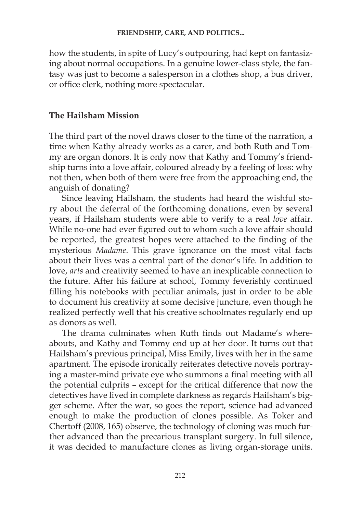how the students, in spite of Lucy's outpouring, had kept on fantasizing about normal occupations. In a genuine lower-class style, the fantasy was just to become a salesperson in a clothes shop, a bus driver, or office clerk, nothing more spectacular.

## **The Hailsham Mission**

The third part of the novel draws closer to the time of the narration, a time when Kathy already works as a carer, and both Ruth and Tommy are organ donors. It is only now that Kathy and Tommy's friendship turns into a love affair, coloured already by a feeling of loss: why not then, when both of them were free from the approaching end, the anguish of donating?

Since leaving Hailsham, the students had heard the wishful story about the deferral of the forthcoming donations, even by several years, if Hailsham students were able to verify to a real *love* affair. While no-one had ever figured out to whom such a love affair should be reported, the greatest hopes were attached to the finding of the mysterious *Madame*. This grave ignorance on the most vital facts about their lives was a central part of the donor's life. In addition to love, *arts* and creativity seemed to have an inexplicable connection to the future. After his failure at school, Tommy feverishly continued filling his notebooks with peculiar animals, just in order to be able to document his creativity at some decisive juncture, even though he realized perfectly well that his creative schoolmates regularly end up as donors as well.

The drama culminates when Ruth finds out Madame's whereabouts, and Kathy and Tommy end up at her door. It turns out that Hailsham's previous principal, Miss Emily, lives with her in the same apartment. The episode ironically reiterates detective novels portraying a master-mind private eye who summons a final meeting with all the potential culprits – except for the critical difference that now the detectives have lived in complete darkness as regards Hailsham's bigger scheme. After the war, so goes the report, science had advanced enough to make the production of clones possible. As Toker and Chertoff (2008, 165) observe, the technology of cloning was much further advanced than the precarious transplant surgery. In full silence, it was decided to manufacture clones as living organ-storage units.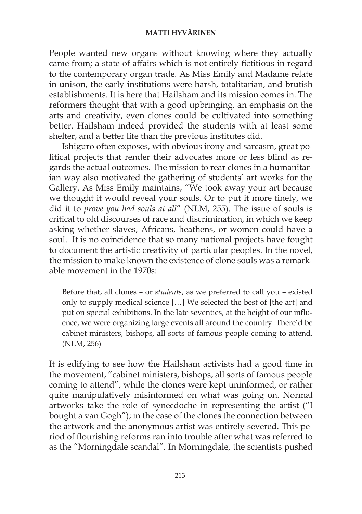People wanted new organs without knowing where they actually came from; a state of affairs which is not entirely fictitious in regard to the contemporary organ trade. As Miss Emily and Madame relate in unison, the early institutions were harsh, totalitarian, and brutish establishments. It is here that Hailsham and its mission comes in. The reformers thought that with a good upbringing, an emphasis on the arts and creativity, even clones could be cultivated into something better. Hailsham indeed provided the students with at least some shelter, and a better life than the previous institutes did.

Ishiguro often exposes, with obvious irony and sarcasm, great political projects that render their advocates more or less blind as regards the actual outcomes. The mission to rear clones in a humanitarian way also motivated the gathering of students' art works for the Gallery. As Miss Emily maintains, "We took away your art because we thought it would reveal your souls. Or to put it more finely, we did it to *prove you had souls at all*" (NLM, 255). The issue of souls is critical to old discourses of race and discrimination, in which we keep asking whether slaves, Africans, heathens, or women could have a soul. It is no coincidence that so many national projects have fought to document the artistic creativity of particular peoples. In the novel, the mission to make known the existence of clone souls was a remarkable movement in the 1970s:

Before that, all clones – or *students*, as we preferred to call you – existed only to supply medical science […] We selected the best of [the art] and put on special exhibitions. In the late seventies, at the height of our influence, we were organizing large events all around the country. There'd be cabinet ministers, bishops, all sorts of famous people coming to attend. (NLM, 256)

It is edifying to see how the Hailsham activists had a good time in the movement, "cabinet ministers, bishops, all sorts of famous people coming to attend", while the clones were kept uninformed, or rather quite manipulatively misinformed on what was going on. Normal artworks take the role of synecdoche in representing the artist ("I bought a van Gogh"); in the case of the clones the connection between the artwork and the anonymous artist was entirely severed. This period of flourishing reforms ran into trouble after what was referred to as the "Morningdale scandal". In Morningdale, the scientists pushed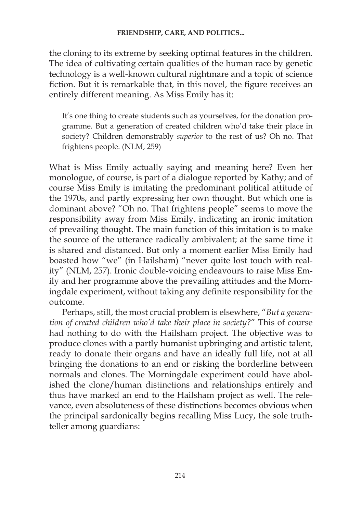the cloning to its extreme by seeking optimal features in the children. The idea of cultivating certain qualities of the human race by genetic technology is a well-known cultural nightmare and a topic of science fiction. But it is remarkable that, in this novel, the figure receives an entirely different meaning. As Miss Emily has it:

It's one thing to create students such as yourselves, for the donation programme. But a generation of created children who'd take their place in society? Children demonstrably *superior* to the rest of us? Oh no. That frightens people. (NLM, 259)

What is Miss Emily actually saying and meaning here? Even her monologue, of course, is part of a dialogue reported by Kathy; and of course Miss Emily is imitating the predominant political attitude of the 1970s, and partly expressing her own thought. But which one is dominant above? "Oh no. That frightens people" seems to move the responsibility away from Miss Emily, indicating an ironic imitation of prevailing thought. The main function of this imitation is to make the source of the utterance radically ambivalent; at the same time it is shared and distanced. But only a moment earlier Miss Emily had boasted how "we" (in Hailsham) "never quite lost touch with reality" (NLM, 257). Ironic double-voicing endeavours to raise Miss Emily and her programme above the prevailing attitudes and the Morningdale experiment, without taking any definite responsibility for the outcome.

Perhaps, still, the most crucial problem is elsewhere, "*But a generation of created children who'd take their place in society?*" This of course had nothing to do with the Hailsham project. The objective was to produce clones with a partly humanist upbringing and artistic talent, ready to donate their organs and have an ideally full life, not at all bringing the donations to an end or risking the borderline between normals and clones. The Morningdale experiment could have abolished the clone/human distinctions and relationships entirely and thus have marked an end to the Hailsham project as well. The relevance, even absoluteness of these distinctions becomes obvious when the principal sardonically begins recalling Miss Lucy, the sole truthteller among guardians: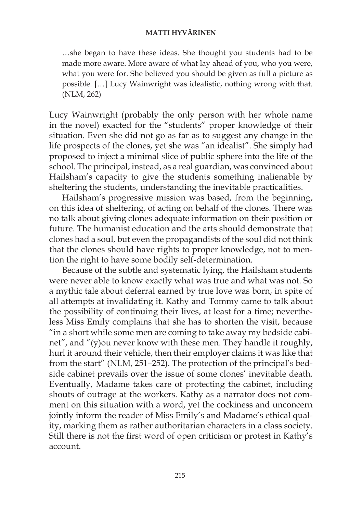…she began to have these ideas. She thought you students had to be made more aware. More aware of what lay ahead of you, who you were, what you were for. She believed you should be given as full a picture as possible. […] Lucy Wainwright was idealistic, nothing wrong with that. (NLM, 262)

Lucy Wainwright (probably the only person with her whole name in the novel) exacted for the "students" proper knowledge of their situation. Even she did not go as far as to suggest any change in the life prospects of the clones, yet she was "an idealist". She simply had proposed to inject a minimal slice of public sphere into the life of the school. The principal, instead, as a real guardian, was convinced about Hailsham's capacity to give the students something inalienable by sheltering the students, understanding the inevitable practicalities.

Hailsham's progressive mission was based, from the beginning, on this idea of sheltering, of acting on behalf of the clones. There was no talk about giving clones adequate information on their position or future. The humanist education and the arts should demonstrate that clones had a soul, but even the propagandists of the soul did not think that the clones should have rights to proper knowledge, not to mention the right to have some bodily self-determination.

Because of the subtle and systematic lying, the Hailsham students were never able to know exactly what was true and what was not. So a mythic tale about deferral earned by true love was born, in spite of all attempts at invalidating it. Kathy and Tommy came to talk about the possibility of continuing their lives, at least for a time; nevertheless Miss Emily complains that she has to shorten the visit, because "in a short while some men are coming to take away my bedside cabinet", and "(y)ou never know with these men. They handle it roughly, hurl it around their vehicle, then their employer claims it was like that from the start" (NLM, 251–252). The protection of the principal's bedside cabinet prevails over the issue of some clones' inevitable death. Eventually, Madame takes care of protecting the cabinet, including shouts of outrage at the workers. Kathy as a narrator does not comment on this situation with a word, yet the cockiness and unconcern jointly inform the reader of Miss Emily's and Madame's ethical quality, marking them as rather authoritarian characters in a class society. Still there is not the first word of open criticism or protest in Kathy's account.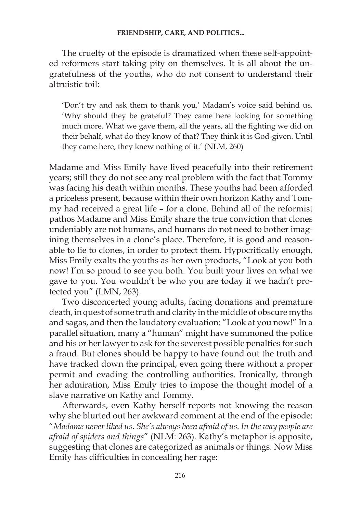The cruelty of the episode is dramatized when these self-appointed reformers start taking pity on themselves. It is all about the ungratefulness of the youths, who do not consent to understand their altruistic toil:

'Don't try and ask them to thank you,' Madam's voice said behind us. 'Why should they be grateful? They came here looking for something much more. What we gave them, all the years, all the fighting we did on their behalf, what do they know of that? They think it is God-given. Until they came here, they knew nothing of it.' (NLM, 260)

Madame and Miss Emily have lived peacefully into their retirement years; still they do not see any real problem with the fact that Tommy was facing his death within months. These youths had been afforded a priceless present, because within their own horizon Kathy and Tommy had received a great life – for a clone. Behind all of the reformist pathos Madame and Miss Emily share the true conviction that clones undeniably are not humans, and humans do not need to bother imagining themselves in a clone's place. Therefore, it is good and reasonable to lie to clones, in order to protect them. Hypocritically enough, Miss Emily exalts the youths as her own products, "Look at you both now! I'm so proud to see you both. You built your lives on what we gave to you. You wouldn't be who you are today if we hadn't protected you" (LMN, 263).

Two disconcerted young adults, facing donations and premature death, in quest of some truth and clarity in the middle of obscure myths and sagas, and then the laudatory evaluation: "Look at you now!" In a parallel situation, many a "human" might have summoned the police and his or her lawyer to ask for the severest possible penalties for such a fraud. But clones should be happy to have found out the truth and have tracked down the principal, even going there without a proper permit and evading the controlling authorities. Ironically, through her admiration, Miss Emily tries to impose the thought model of a slave narrative on Kathy and Tommy.

Afterwards, even Kathy herself reports not knowing the reason why she blurted out her awkward comment at the end of the episode: "*Madame never liked us. She's always been afraid of us. In the way people are afraid of spiders and things*" (NLM: 263). Kathy's metaphor is apposite, suggesting that clones are categorized as animals or things. Now Miss Emily has difficulties in concealing her rage: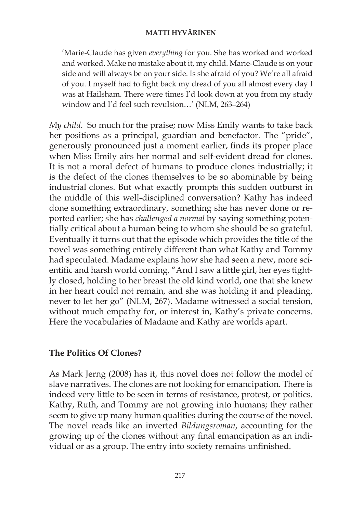'Marie-Claude has given *everything* for you. She has worked and worked and worked. Make no mistake about it, my child. Marie-Claude is on your side and will always be on your side. Is she afraid of you? We're all afraid of you. I myself had to fight back my dread of you all almost every day I was at Hailsham. There were times I'd look down at you from my study window and I'd feel such revulsion…' (NLM, 263–264)

*My child*. So much for the praise; now Miss Emily wants to take back her positions as a principal, guardian and benefactor. The "pride", generously pronounced just a moment earlier, finds its proper place when Miss Emily airs her normal and self-evident dread for clones. It is not a moral defect of humans to produce clones industrially; it is the defect of the clones themselves to be so abominable by being industrial clones. But what exactly prompts this sudden outburst in the middle of this well-disciplined conversation? Kathy has indeed done something extraordinary, something she has never done or reported earlier; she has *challenged a normal* by saying something potentially critical about a human being to whom she should be so grateful. Eventually it turns out that the episode which provides the title of the novel was something entirely different than what Kathy and Tommy had speculated. Madame explains how she had seen a new, more scientific and harsh world coming, "And I saw a little girl, her eyes tightly closed, holding to her breast the old kind world, one that she knew in her heart could not remain, and she was holding it and pleading, never to let her go" (NLM, 267). Madame witnessed a social tension, without much empathy for, or interest in, Kathy's private concerns. Here the vocabularies of Madame and Kathy are worlds apart.

## **The Politics Of Clones?**

As Mark Jerng (2008) has it, this novel does not follow the model of slave narratives. The clones are not looking for emancipation. There is indeed very little to be seen in terms of resistance, protest, or politics. Kathy, Ruth, and Tommy are not growing into humans; they rather seem to give up many human qualities during the course of the novel. The novel reads like an inverted *Bildungsroman*, accounting for the growing up of the clones without any final emancipation as an individual or as a group. The entry into society remains unfinished.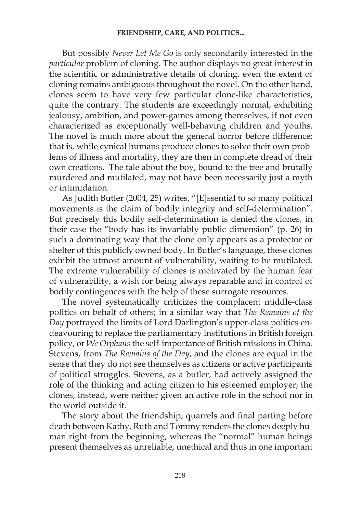But possibly *Never Let Me Go* is only secondarily interested in the *particular* problem of cloning. The author displays no great interest in the scientific or administrative details of cloning, even the extent of cloning remains ambiguous throughout the novel. On the other hand, clones seem to have very few particular clone-like characteristics, quite the contrary. The students are exceedingly normal, exhibiting jealousy, ambition, and power-games among themselves, if not even characterized as exceptionally well-behaving children and youths. The novel is much more about the general horror before difference; that is, while cynical humans produce clones to solve their own problems of illness and mortality, they are then in complete dread of their own creations. The tale about the boy, bound to the tree and brutally murdered and mutilated, may not have been necessarily just a myth or intimidation.

As Judith Butler (2004, 25) writes, "[E]ssential to so many political movements is the claim of bodily integrity and self-determination". But precisely this bodily self-determination is denied the clones, in their case the "body has its invariably public dimension" (p. 26) in such a dominating way that the clone only appears as a protector or shelter of this publicly owned body. In Butler's language, these clones exhibit the utmost amount of vulnerability, waiting to be mutilated. The extreme vulnerability of clones is motivated by the human fear of vulnerability, a wish for being always reparable and in control of bodily contingences with the help of these surrogate resources.

The novel systematically criticizes the complacent middle-class politics on behalf of others; in a similar way that *The Remains of the Day* portrayed the limits of Lord Darlington's upper-class politics endeavouring to replace the parliamentary institutions in British foreign policy, or *We Orphans* the self-importance of British missions in China. Stevens, from *The Remains of the Day*, and the clones are equal in the sense that they do not see themselves as citizens or active participants of political struggles. Stevens, as a butler, had actively assigned the role of the thinking and acting citizen to his esteemed employer; the clones, instead, were neither given an active role in the school nor in the world outside it.

The story about the friendship, quarrels and final parting before death between Kathy, Ruth and Tommy renders the clones deeply human right from the beginning, whereas the "normal" human beings present themselves as unreliable, unethical and thus in one important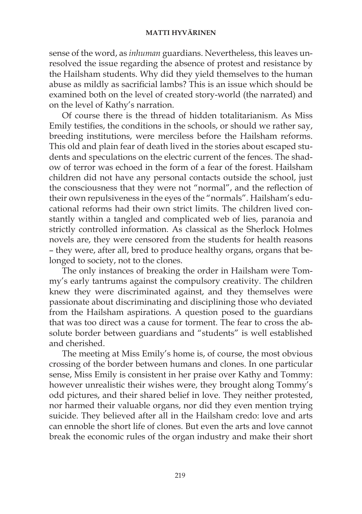sense of the word, as *inhuman* guardians. Nevertheless, this leaves unresolved the issue regarding the absence of protest and resistance by the Hailsham students. Why did they yield themselves to the human abuse as mildly as sacrificial lambs? This is an issue which should be examined both on the level of created story-world (the narrated) and on the level of Kathy's narration.

Of course there is the thread of hidden totalitarianism. As Miss Emily testifies, the conditions in the schools, or should we rather say, breeding institutions, were merciless before the Hailsham reforms. This old and plain fear of death lived in the stories about escaped students and speculations on the electric current of the fences. The shadow of terror was echoed in the form of a fear of the forest. Hailsham children did not have any personal contacts outside the school, just the consciousness that they were not "normal", and the reflection of their own repulsiveness in the eyes of the "normals". Hailsham's educational reforms had their own strict limits. The children lived constantly within a tangled and complicated web of lies, paranoia and strictly controlled information. As classical as the Sherlock Holmes novels are, they were censored from the students for health reasons – they were, after all, bred to produce healthy organs, organs that belonged to society, not to the clones.

The only instances of breaking the order in Hailsham were Tommy's early tantrums against the compulsory creativity. The children knew they were discriminated against, and they themselves were passionate about discriminating and disciplining those who deviated from the Hailsham aspirations. A question posed to the guardians that was too direct was a cause for torment. The fear to cross the absolute border between guardians and "students" is well established and cherished.

The meeting at Miss Emily's home is, of course, the most obvious crossing of the border between humans and clones. In one particular sense, Miss Emily is consistent in her praise over Kathy and Tommy: however unrealistic their wishes were, they brought along Tommy's odd pictures, and their shared belief in love. They neither protested, nor harmed their valuable organs, nor did they even mention trying suicide. They believed after all in the Hailsham credo: love and arts can ennoble the short life of clones. But even the arts and love cannot break the economic rules of the organ industry and make their short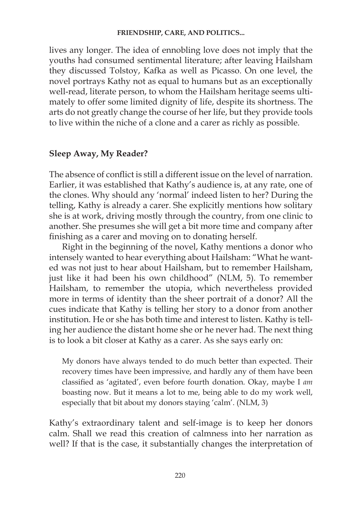lives any longer. The idea of ennobling love does not imply that the youths had consumed sentimental literature; after leaving Hailsham they discussed Tolstoy, Kafka as well as Picasso. On one level, the novel portrays Kathy not as equal to humans but as an exceptionally well-read, literate person, to whom the Hailsham heritage seems ultimately to offer some limited dignity of life, despite its shortness. The arts do not greatly change the course of her life, but they provide tools to live within the niche of a clone and a carer as richly as possible.

## **Sleep Away, My Reader?**

The absence of conflict is still a different issue on the level of narration. Earlier, it was established that Kathy's audience is, at any rate, one of the clones. Why should any 'normal' indeed listen to her? During the telling, Kathy is already a carer. She explicitly mentions how solitary she is at work, driving mostly through the country, from one clinic to another. She presumes she will get a bit more time and company after finishing as a carer and moving on to donating herself.

Right in the beginning of the novel, Kathy mentions a donor who intensely wanted to hear everything about Hailsham: "What he wanted was not just to hear about Hailsham, but to remember Hailsham, just like it had been his own childhood" (NLM, 5). To remember Hailsham, to remember the utopia, which nevertheless provided more in terms of identity than the sheer portrait of a donor? All the cues indicate that Kathy is telling her story to a donor from another institution. He or she has both time and interest to listen. Kathy is telling her audience the distant home she or he never had. The next thing is to look a bit closer at Kathy as a carer. As she says early on:

My donors have always tended to do much better than expected. Their recovery times have been impressive, and hardly any of them have been classified as 'agitated', even before fourth donation. Okay, maybe I *am* boasting now. But it means a lot to me, being able to do my work well, especially that bit about my donors staying 'calm'. (NLM, 3)

Kathy's extraordinary talent and self-image is to keep her donors calm. Shall we read this creation of calmness into her narration as well? If that is the case, it substantially changes the interpretation of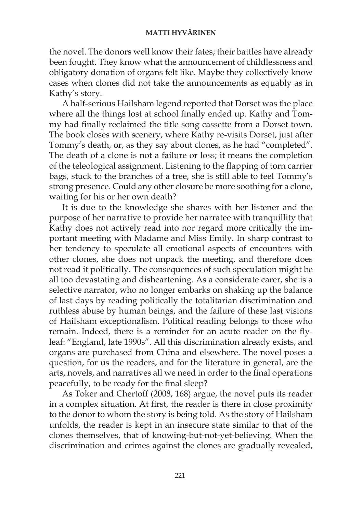the novel. The donors well know their fates; their battles have already been fought. They know what the announcement of childlessness and obligatory donation of organs felt like. Maybe they collectively know cases when clones did not take the announcements as equably as in Kathy's story.

A half-serious Hailsham legend reported that Dorset was the place where all the things lost at school finally ended up. Kathy and Tommy had finally reclaimed the title song cassette from a Dorset town. The book closes with scenery, where Kathy re-visits Dorset, just after Tommy's death, or, as they say about clones, as he had "completed". The death of a clone is not a failure or loss; it means the completion of the teleological assignment. Listening to the flapping of torn carrier bags, stuck to the branches of a tree, she is still able to feel Tommy's strong presence. Could any other closure be more soothing for a clone, waiting for his or her own death?

It is due to the knowledge she shares with her listener and the purpose of her narrative to provide her narratee with tranquillity that Kathy does not actively read into nor regard more critically the important meeting with Madame and Miss Emily. In sharp contrast to her tendency to speculate all emotional aspects of encounters with other clones, she does not unpack the meeting, and therefore does not read it politically. The consequences of such speculation might be all too devastating and disheartening. As a considerate carer, she is a selective narrator, who no longer embarks on shaking up the balance of last days by reading politically the totalitarian discrimination and ruthless abuse by human beings, and the failure of these last visions of Hailsham exceptionalism. Political reading belongs to those who remain. Indeed, there is a reminder for an acute reader on the flyleaf: "England, late 1990s". All this discrimination already exists, and organs are purchased from China and elsewhere. The novel poses a question, for us the readers, and for the literature in general, are the arts, novels, and narratives all we need in order to the final operations peacefully, to be ready for the final sleep?

As Toker and Chertoff (2008, 168) argue, the novel puts its reader in a complex situation. At first, the reader is there in close proximity to the donor to whom the story is being told. As the story of Hailsham unfolds, the reader is kept in an insecure state similar to that of the clones themselves, that of knowing-but-not-yet-believing. When the discrimination and crimes against the clones are gradually revealed,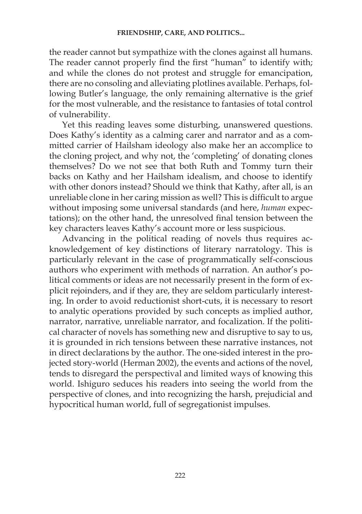the reader cannot but sympathize with the clones against all humans. The reader cannot properly find the first "human" to identify with; and while the clones do not protest and struggle for emancipation, there are no consoling and alleviating plotlines available. Perhaps, following Butler's language, the only remaining alternative is the grief for the most vulnerable, and the resistance to fantasies of total control of vulnerability.

Yet this reading leaves some disturbing, unanswered questions. Does Kathy's identity as a calming carer and narrator and as a committed carrier of Hailsham ideology also make her an accomplice to the cloning project, and why not, the 'completing' of donating clones themselves? Do we not see that both Ruth and Tommy turn their backs on Kathy and her Hailsham idealism, and choose to identify with other donors instead? Should we think that Kathy, after all, is an unreliable clone in her caring mission as well? This is difficult to argue without imposing some universal standards (and here, *human* expectations); on the other hand, the unresolved final tension between the key characters leaves Kathy's account more or less suspicious.

Advancing in the political reading of novels thus requires acknowledgement of key distinctions of literary narratology. This is particularly relevant in the case of programmatically self-conscious authors who experiment with methods of narration. An author's political comments or ideas are not necessarily present in the form of explicit rejoinders, and if they are, they are seldom particularly interesting. In order to avoid reductionist short-cuts, it is necessary to resort to analytic operations provided by such concepts as implied author, narrator, narrative, unreliable narrator, and focalization. If the political character of novels has something new and disruptive to say to us, it is grounded in rich tensions between these narrative instances, not in direct declarations by the author. The one-sided interest in the projected story-world (Herman 2002), the events and actions of the novel, tends to disregard the perspectival and limited ways of knowing this world. Ishiguro seduces his readers into seeing the world from the perspective of clones, and into recognizing the harsh, prejudicial and hypocritical human world, full of segregationist impulses.